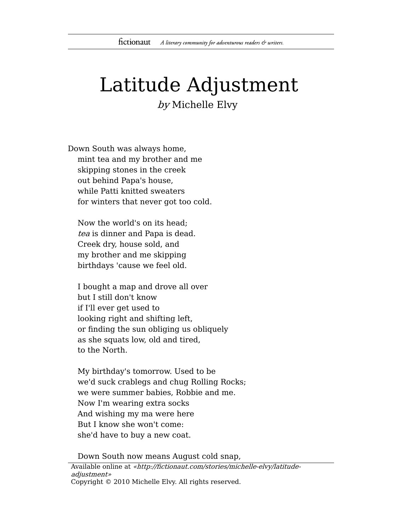## Latitude Adjustment

by Michelle Elvy

Down South was always home, mint tea and my brother and me skipping stones in the creek out behind Papa's house, while Patti knitted sweaters for winters that never got too cold.

Now the world's on its head; tea is dinner and Papa is dead. Creek dry, house sold, and my brother and me skipping birthdays 'cause we feel old.

I bought a map and drove all over but I still don't know if I'll ever get used to looking right and shifting left, or finding the sun obliging us obliquely as she squats low, old and tired, to the North.

My birthday's tomorrow. Used to be we'd suck crablegs and chug Rolling Rocks; we were summer babies, Robbie and me. Now I'm wearing extra socks And wishing my ma were here But I know she won't come: she'd have to buy a new coat.

Down South now means August cold snap,

Available online at «http://fictionaut.com/stories/michelle-elvy/latitudeadjustment» Copyright © 2010 Michelle Elvy. All rights reserved.